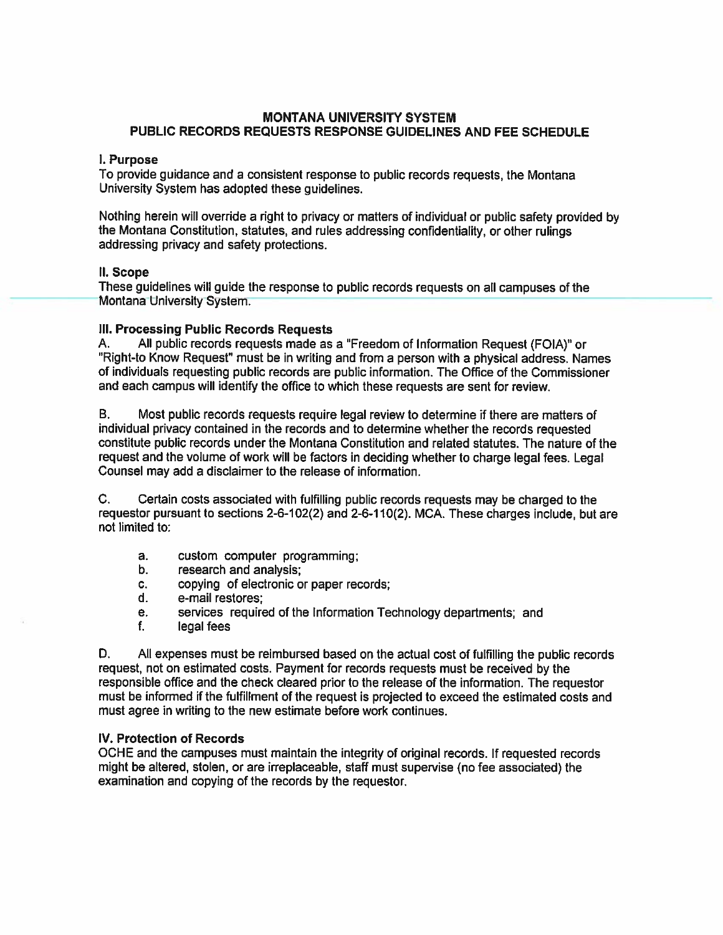## MONTANA UNIVERSITY SYSTEM PUBLIC RECORDS REQUESTS RESPONSE GUIDELINES AND FEE SCHEDULE

#### I. Purpose

To provide guidance and <sup>a</sup> consistent response to public records requests, the Montana University System has adopted these guidelines.

Nothing herein will override <sup>a</sup> right to privacy or matters of individual or public safety provided by the Montana Constitution, statutes, and rules addressing confidentiality, or other rulings addressing privacy and safety protections.

#### II. Scope

These guidelines will guide the response to public records requests on all campuses of the Montana University System.

## Ill. Processing Public Records Requests

A. All public records requests made as <sup>a</sup> "Freedom of Information Request (FOIA)" or "Right-to Know Request" must be in writing and from a person with a physical address. Names of individuals requesting public records are public information. The Office of the Commissioner and each campus will identify the office to which these requests are sent for review.

B. Most public records requests require legal review to determine if there are matters of individual privacy contained in the records and to determine whether the records requested constitute public records under the Montana Constitution and related statutes. The nature of the reques<sup>t</sup> and the volume of work will be factors in deciding whether to charge legal fees. Legal Counsel may add <sup>a</sup> disclaimer to the release of information.

C. Certain costs associated with fulfilling public records requests may be charged to the requestor pursuan<sup>t</sup> to sections 2-6-102(2) and 2-6-110(2). MCA. These charges include, but are not limited to:

- a. custom computer programming;
- b. research and analysis;
- c. copying of electronic or paper records;
- d. e-mail restores;
- e. services required of the Information Technology departments; and
- f. legal fees

D. All expenses must be reimbursed based on the actual cost of fulfilling the public records request, not on estimated costs. Payment for records requests must be received by the responsible office and the check cleared prior to the release of the information. The requestor must be informed if the fulfillment of the reques<sup>t</sup> is projected to exceed the estimated costs and must agree in writing to the new estimate before work continues.

#### IV. Protection of Records

OCHE and the campuses must maintain the integrity of original records. If requested records might be altered, stolen, or are irreplaceable, staff must supervise (no fee associated) the examination and copying of the records by the requestor.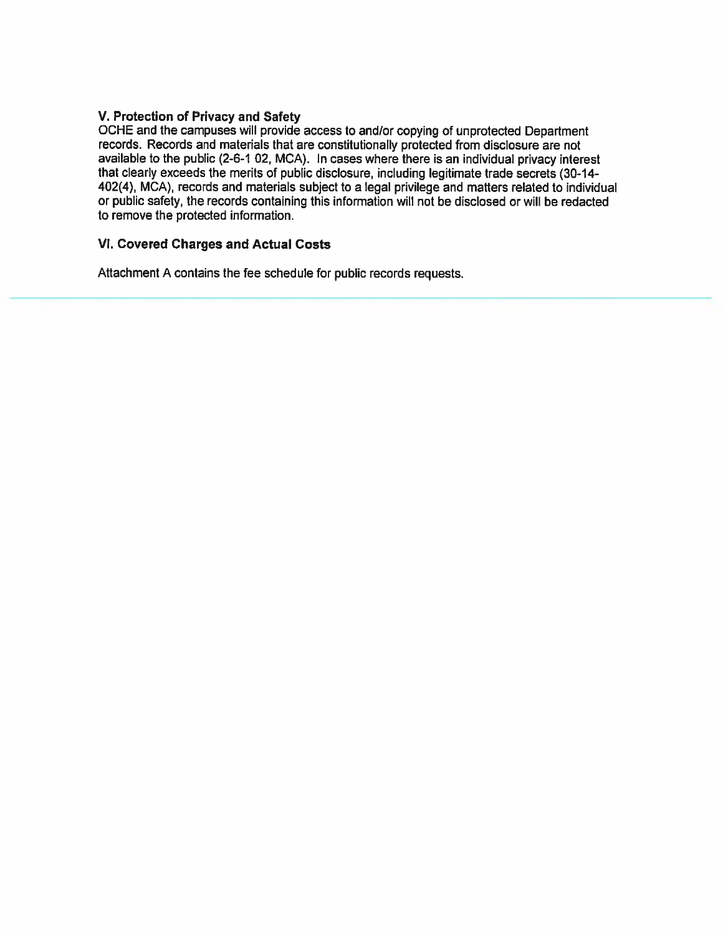## V. Protection of Privacy and Safety

OCHE and the campuses will provide access to and/or copying of unprotected Department records. Records and materials that are constitutionally protected from disclosure are not available to the public (2-6-1 02, MCA). In cases where there is an individual privacy interest that clearly exceeds the merits of public disclosure, including legitimate trade secrets (30-14- 402(4), MCA), records and materials subject to a legal privilege and matters related to individual or public safety, the records containing this information will not be disclosed or will be redacted to remove the protected information.

# VI. Covered Charges and Actual Costs

Attachment A contains the fee schedule for public records requests.